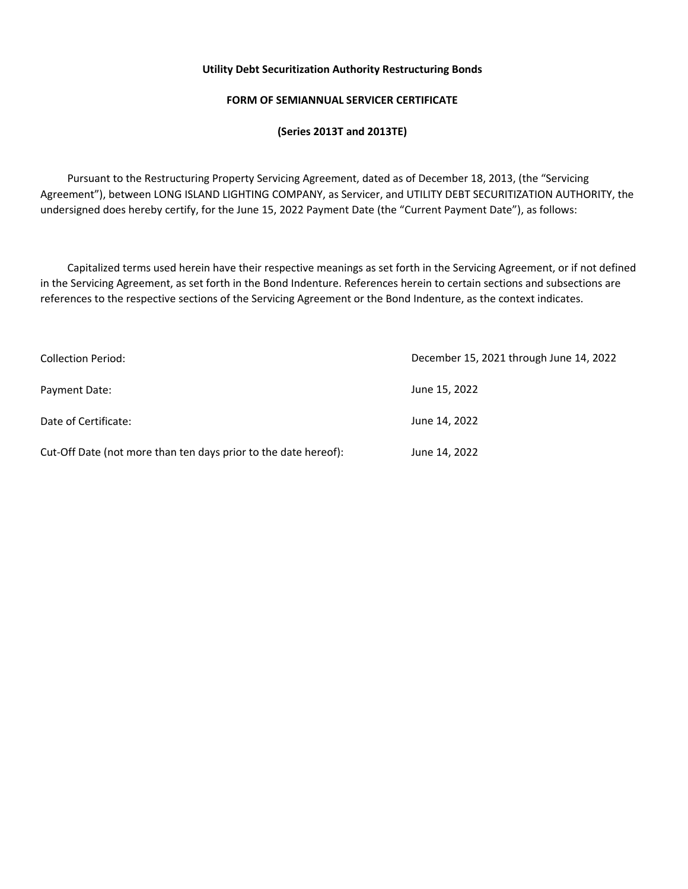# **FORM OF SEMIANNUAL SERVICER CERTIFICATE**

**(Series 2013T and 2013TE)** 

 Pursuant to the Restructuring Property Servicing Agreement, dated as of December 18, 2013, (the "Servicing Agreement"), between LONG ISLAND LIGHTING COMPANY, as Servicer, and UTILITY DEBT SECURITIZATION AUTHORITY, the undersigned does hereby certify, for the June 15, 2022 Payment Date (the "Current Payment Date"), as follows:

 Capitalized terms used herein have their respective meanings as set forth in the Servicing Agreement, or if not defined in the Servicing Agreement, as set forth in the Bond Indenture. References herein to certain sections and subsections are references to the respective sections of the Servicing Agreement or the Bond Indenture, as the context indicates.

| Collection Period:                                              | December 15, 2021 through June 14, 2022 |
|-----------------------------------------------------------------|-----------------------------------------|
| Payment Date:                                                   | June 15, 2022                           |
| Date of Certificate:                                            | June 14, 2022                           |
| Cut-Off Date (not more than ten days prior to the date hereof): | June 14, 2022                           |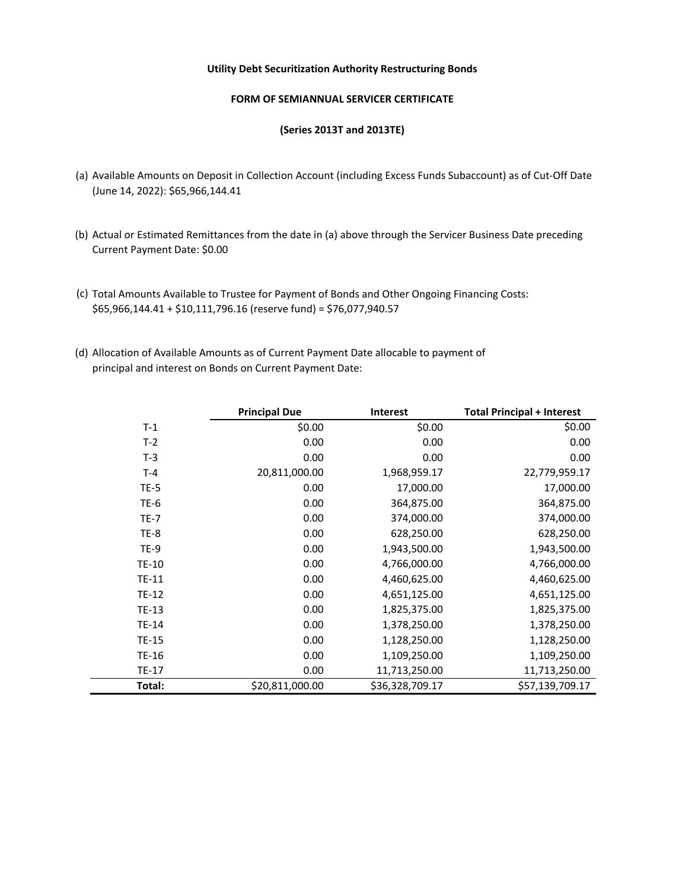## **FORM OF SEMIANNUAL SERVICER CERTIFICATE**

#### **(Series 2013T and 2013TE)**

- (a) Available Amounts on Deposit in Collection Account (including Excess Funds Subaccount) as of Cut-Off Date (June 14, 2022): \$65,966,144.41
- (b) Actual or Estimated Remittances from the date in (a) above through the Servicer Business Date preceding Current Payment Date: \$0.00
- (c) Total Amounts Available to Trustee for Payment of Bonds and Other Ongoing Financing Costs: \$65,966,144.41 + \$10,111,796.16 (reserve fund) = \$76,077,940.57
- (d) Allocation of Available Amounts as of Current Payment Date allocable to payment of principal and interest on Bonds on Current Payment Date:

|              | <b>Principal Due</b> | <b>Interest</b> | <b>Total Principal + Interest</b> |
|--------------|----------------------|-----------------|-----------------------------------|
| $T-1$        | \$0.00               | \$0.00          | \$0.00                            |
| $T-2$        | 0.00                 | 0.00            | 0.00                              |
| $T-3$        | 0.00                 | 0.00            | 0.00                              |
| $T - 4$      | 20,811,000.00        | 1,968,959.17    | 22,779,959.17                     |
| $TE-5$       | 0.00                 | 17,000.00       | 17,000.00                         |
| TE-6         | 0.00                 | 364,875.00      | 364,875.00                        |
| TE-7         | 0.00                 | 374,000.00      | 374,000.00                        |
| <b>TE-8</b>  | 0.00                 | 628,250.00      | 628,250.00                        |
| <b>TE-9</b>  | 0.00                 | 1,943,500.00    | 1,943,500.00                      |
| <b>TE-10</b> | 0.00                 | 4,766,000.00    | 4,766,000.00                      |
| <b>TE-11</b> | 0.00                 | 4,460,625.00    | 4,460,625.00                      |
| <b>TE-12</b> | 0.00                 | 4,651,125.00    | 4,651,125.00                      |
| TE-13        | 0.00                 | 1,825,375.00    | 1,825,375.00                      |
| <b>TE-14</b> | 0.00                 | 1,378,250.00    | 1,378,250.00                      |
| <b>TE-15</b> | 0.00                 | 1,128,250.00    | 1,128,250.00                      |
| TE-16        | 0.00                 | 1,109,250.00    | 1,109,250.00                      |
| TE-17        | 0.00                 | 11,713,250.00   | 11,713,250.00                     |
| Total:       | \$20,811,000.00      | \$36,328,709.17 | \$57,139,709.17                   |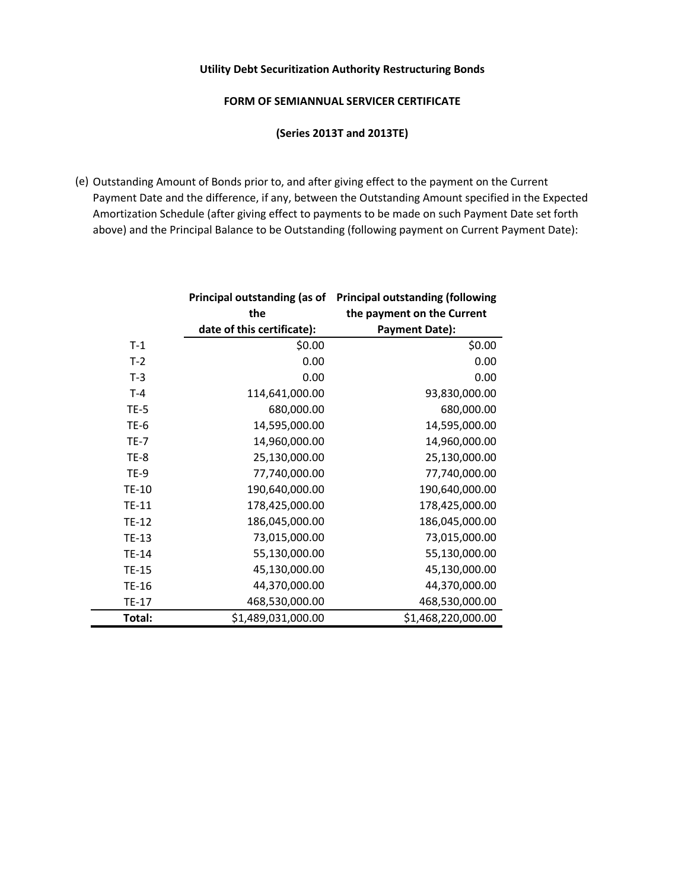## **FORM OF SEMIANNUAL SERVICER CERTIFICATE**

**(Series 2013T and 2013TE)** 

(e) Outstanding Amount of Bonds prior to, and after giving effect to the payment on the Current Payment Date and the difference, if any, between the Outstanding Amount specified in the Expected Amortization Schedule (after giving effect to payments to be made on such Payment Date set forth above) and the Principal Balance to be Outstanding (following payment on Current Payment Date):

|              | Principal outstanding (as of<br><b>Principal outstanding (following</b> |                            |  |
|--------------|-------------------------------------------------------------------------|----------------------------|--|
|              | the                                                                     | the payment on the Current |  |
|              | date of this certificate):                                              | <b>Payment Date):</b>      |  |
| $T-1$        | \$0.00                                                                  | \$0.00                     |  |
| $T-2$        | 0.00                                                                    | 0.00                       |  |
| $T-3$        | 0.00                                                                    | 0.00                       |  |
| $T-4$        | 114,641,000.00                                                          | 93,830,000.00              |  |
| <b>TE-5</b>  | 680,000.00                                                              | 680,000.00                 |  |
| <b>TE-6</b>  | 14,595,000.00                                                           | 14,595,000.00              |  |
| <b>TE-7</b>  | 14,960,000.00                                                           | 14,960,000.00              |  |
| <b>TE-8</b>  | 25,130,000.00                                                           | 25,130,000.00              |  |
| $TE-9$       | 77,740,000.00                                                           | 77,740,000.00              |  |
| <b>TE-10</b> | 190,640,000.00                                                          | 190,640,000.00             |  |
| TE-11        | 178,425,000.00                                                          | 178,425,000.00             |  |
| <b>TE-12</b> | 186,045,000.00                                                          | 186,045,000.00             |  |
| <b>TE-13</b> | 73,015,000.00                                                           | 73,015,000.00              |  |
| <b>TE-14</b> | 55,130,000.00                                                           | 55,130,000.00              |  |
| <b>TE-15</b> | 45,130,000.00                                                           | 45,130,000.00              |  |
| TE-16        | 44,370,000.00                                                           | 44,370,000.00              |  |
| <b>TE-17</b> | 468,530,000.00                                                          | 468,530,000.00             |  |
| Total:       | \$1,489,031,000.00                                                      | \$1,468,220,000.00         |  |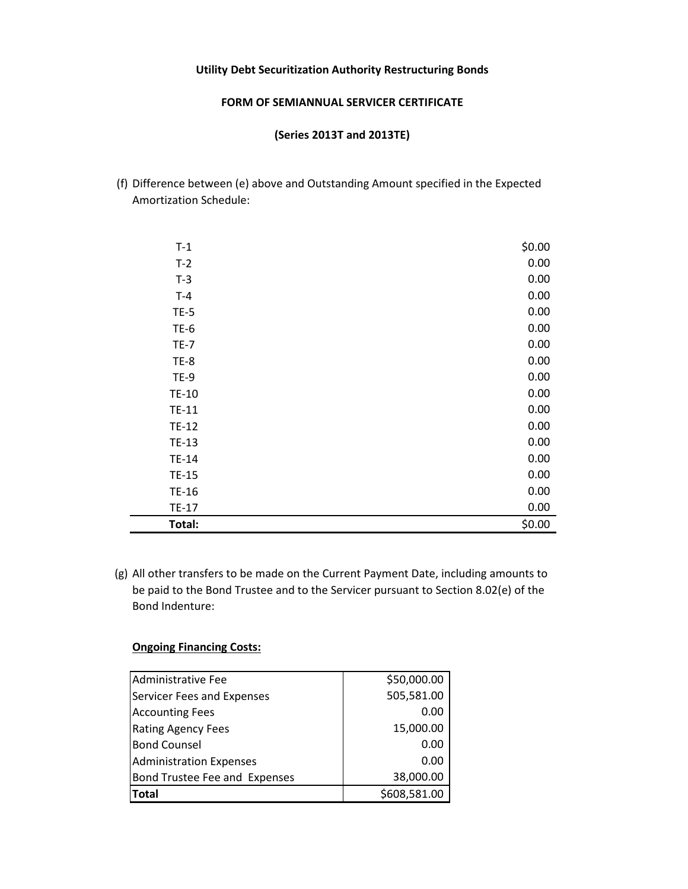#### **FORM OF SEMIANNUAL SERVICER CERTIFICATE**

# **(Series 2013T and 2013TE)**

(f) Difference between (e) above and Outstanding Amount specified in the Expected Amortization Schedule:

| $T-1$        | \$0.00 |
|--------------|--------|
| $T-2$        | 0.00   |
| $T-3$        | 0.00   |
| $T-4$        | 0.00   |
| $TE-5$       | 0.00   |
| $TE-6$       | 0.00   |
| $TE-7$       | 0.00   |
| $TE-8$       | 0.00   |
| $TE-9$       | 0.00   |
| <b>TE-10</b> | 0.00   |
| <b>TE-11</b> | 0.00   |
| <b>TE-12</b> | 0.00   |
| $TE-13$      | 0.00   |
| <b>TE-14</b> | 0.00   |
| $TE-15$      | 0.00   |
| <b>TE-16</b> | 0.00   |
| <b>TE-17</b> | 0.00   |
| Total:       | \$0.00 |

(g) All other transfers to be made on the Current Payment Date, including amounts to be paid to the Bond Trustee and to the Servicer pursuant to Section 8.02(e) of the Bond Indenture:

# **Ongoing Financing Costs:**

| Administrative Fee             | \$50,000.00  |
|--------------------------------|--------------|
| Servicer Fees and Expenses     | 505,581.00   |
| <b>Accounting Fees</b>         | 0.00         |
| <b>Rating Agency Fees</b>      | 15,000.00    |
| <b>Bond Counsel</b>            | 0.00         |
| <b>Administration Expenses</b> | 0.00         |
| Bond Trustee Fee and Expenses  | 38,000.00    |
| Total                          | \$608,581.00 |
|                                |              |